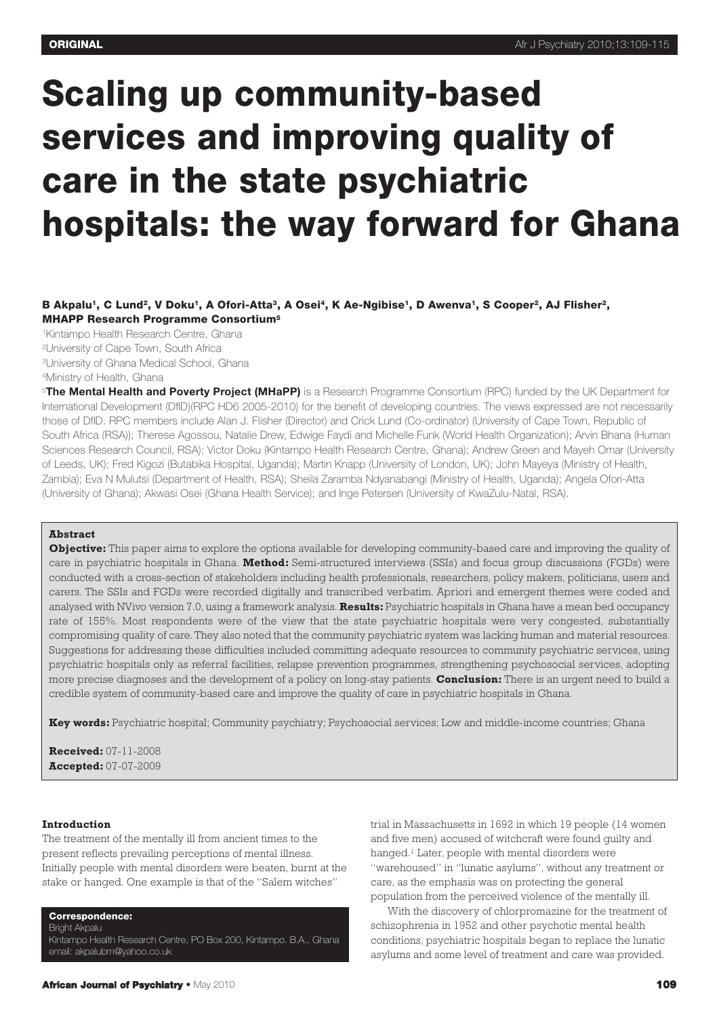# **Scaling up community-based services and improving quality of care in the state psychiatric hospitals: the way forward for Ghana**

# B Akpalu<sup>1</sup>, C Lund<sup>2</sup>, V Doku<sup>1</sup>, A Ofori-Atta<sup>3</sup>, A Osei<sup>4</sup>, K Ae-Ngibise<sup>1</sup>, D Awenva<sup>1</sup>, S Cooper<sup>2</sup>, AJ Flisher<sup>2</sup>, **MHAPP Research Programme Consortium5**

1Kintampo Health Research Centre, Ghana 2University of Cape Town, South Africa 3University of Ghana Medical School, Ghana 4Ministry of Health, Ghana

<sup>5</sup>**The Mental Health and Poverty Project (MHaPP)** is a Research Programme Consortium (RPC) funded by the UK Department for International Development (DfID)(RPC HD6 2005-2010) for the benefit of developing countries. The views expressed are not necessarily those of DfID. RPC members include Alan J. Flisher (Director) and Crick Lund (Co-ordinator) (University of Cape Town, Republic of South Africa (RSA)); Therese Agossou, Natalie Drew, Edwige Faydi and Michelle Funk (World Health Organization); Arvin Bhana (Human Sciences Research Council, RSA); Victor Doku (Kintampo Health Research Centre, Ghana); Andrew Green and Mayeh Omar (University of Leeds, UK); Fred Kigozi (Butabika Hospital, Uganda); Martin Knapp (University of London, UK); John Mayeya (Ministry of Health, Zambia); Eva N Mulutsi (Department of Health, RSA); Sheila Zaramba Ndyanabangi (Ministry of Health, Uganda); Angela Ofori-Atta (University of Ghana); Akwasi Osei (Ghana Health Service); and Inge Petersen (University of KwaZulu-Natal, RSA).

# **Abstract**

**Objective:** This paper aims to explore the options available for developing community-based care and improving the quality of care in psychiatric hospitals in Ghana. **Method:** Semi-structured interviews (SSIs) and focus group discussions (FGDs) were conducted with a cross-section of stakeholders including health professionals, researchers, policy makers, politicians, users and carers. The SSIs and FGDs were recorded digitally and transcribed verbatim. Apriori and emergent themes were coded and analysed with NVivo version 7.0, using a framework analysis. **Results:** Psychiatric hospitals in Ghana have a mean bed occupancy rate of 155%. Most respondents were of the view that the state psychiatric hospitals were very congested, substantially compromising quality of care. They also noted that the community psychiatric system was lacking human and material resources. Suggestions for addressing these difficulties included committing adequate resources to community psychiatric services, using psychiatric hospitals only as referral facilities, relapse prevention programmes, strengthening psychosocial services, adopting more precise diagnoses and the development of a policy on long-stay patients. **Conclusion:** There is an urgent need to build a credible system of community-based care and improve the quality of care in psychiatric hospitals in Ghana.

**Key words:** Psychiatric hospital; Community psychiatry; Psychosocial services; Low and middle-income countries; Ghana

**Received:** 07-11-2008 **Accepted:** 07-07-2009

## **Introduction**

The treatment of the mentally ill from ancient times to the present reflects prevailing perceptions of mental illness. Initially people with mental disorders were beaten, burnt at the stake or hanged. One example is that of the "Salem witches"

**Correspondence:**

Bright Akpalu Kintampo Health Research Centre, PO Box 200, Kintampo. B.A., Ghana email: akpalubm@yahoo.co.uk

trial in Massachusetts in 1692 in which 19 people (14 women and five men) accused of witchcraft were found guilty and hanged. <sup>1</sup> Later, people with mental disorders were "warehoused" in "lunatic asylums", without any treatment or care, as the emphasis was on protecting the general population from the perceived violence of the mentally ill.

With the discovery of chlorpromazine for the treatment of schizophrenia in 1952 and other psychotic mental health conditions, psychiatric hospitals began to replace the lunatic asylums and some level of treatment and care was provided.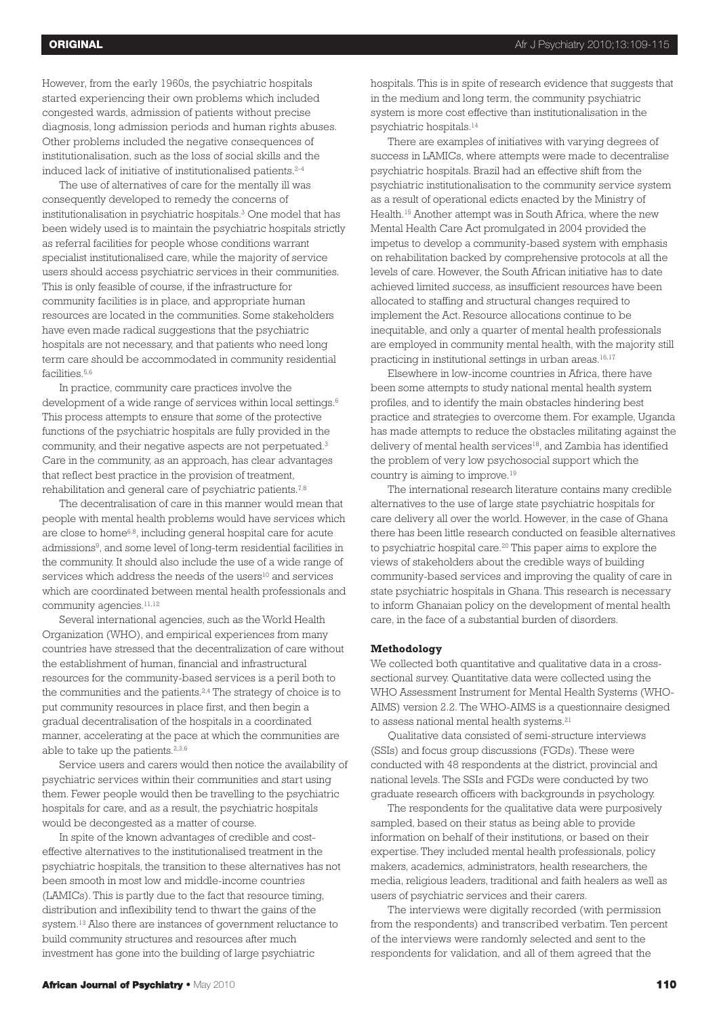However, from the early 1960s, the psychiatric hospitals started experiencing their own problems which included congested wards, admission of patients without precise diagnosis, long admission periods and human rights abuses. Other problems included the negative consequences of institutionalisation, such as the loss of social skills and the induced lack of initiative of institutionalised patients. 2-4

The use of alternatives of care for the mentally ill was consequently developed to remedy the concerns of institutionalisation in psychiatric hospitals. <sup>3</sup> One model that has been widely used is to maintain the psychiatric hospitals strictly as referral facilities for people whose conditions warrant specialist institutionalised care, while the majority of service users should access psychiatric services in their communities. This is only feasible of course, if the infrastructure for community facilities is in place, and appropriate human resources are located in the communities. Some stakeholders have even made radical suggestions that the psychiatric hospitals are not necessary, and that patients who need long term care should be accommodated in community residential facilities. 5,6

In practice, community care practices involve the development of a wide range of services within local settings. 6 This process attempts to ensure that some of the protective functions of the psychiatric hospitals are fully provided in the community, and their negative aspects are not perpetuated. 3 Care in the community, as an approach, has clear advantages that reflect best practice in the provision of treatment, rehabilitation and general care of psychiatric patients. 7,8

The decentralisation of care in this manner would mean that people with mental health problems would have services which are close to home6,8, including general hospital care for acute admissions9, and some level of long-term residential facilities in the community. It should also include the use of a wide range of services which address the needs of the users<sup>10</sup> and services which are coordinated between mental health professionals and community agencies. 11,12

Several international agencies, such as the World Health Organization (WHO), and empirical experiences from many countries have stressed that the decentralization of care without the establishment of human, financial and infrastructural resources for the community-based services is a peril both to the communities and the patients. 2,4 The strategy of choice is to put community resources in place first, and then begin a gradual decentralisation of the hospitals in a coordinated manner, accelerating at the pace at which the communities are able to take up the patients.<sup>2,3,6</sup>

Service users and carers would then notice the availability of psychiatric services within their communities and start using them. Fewer people would then be travelling to the psychiatric hospitals for care, and as a result, the psychiatric hospitals would be decongested as a matter of course.

In spite of the known advantages of credible and costeffective alternatives to the institutionalised treatment in the psychiatric hospitals, the transition to these alternatives has not been smooth in most low and middle-income countries (LAMICs). This is partly due to the fact that resource timing, distribution and inflexibility tend to thwart the gains of the system. <sup>13</sup> Also there are instances of government reluctance to build community structures and resources after much investment has gone into the building of large psychiatric

hospitals. This is in spite of research evidence that suggests that in the medium and long term, the community psychiatric system is more cost effective than institutionalisation in the psychiatric hospitals. 14

There are examples of initiatives with varying degrees of success in LAMICs, where attempts were made to decentralise psychiatric hospitals. Brazil had an effective shift from the psychiatric institutionalisation to the community service system as a result of operational edicts enacted by the Ministry of Health. <sup>15</sup> Another attempt was in South Africa, where the new Mental Health Care Act promulgated in 2004 provided the impetus to develop a community-based system with emphasis on rehabilitation backed by comprehensive protocols at all the levels of care. However, the South African initiative has to date achieved limited success, as insufficient resources have been allocated to staffing and structural changes required to implement the Act. Resource allocations continue to be inequitable, and only a quarter of mental health professionals are employed in community mental health, with the majority still practicing in institutional settings in urban areas. 16,17

Elsewhere in low-income countries in Africa, there have been some attempts to study national mental health system profiles, and to identify the main obstacles hindering best practice and strategies to overcome them. For example, Uganda has made attempts to reduce the obstacles militating against the delivery of mental health services<sup>18</sup>, and Zambia has identified the problem of very low psychosocial support which the country is aiming to improve. 19

The international research literature contains many credible alternatives to the use of large state psychiatric hospitals for care delivery all over the world. However, in the case of Ghana there has been little research conducted on feasible alternatives to psychiatric hospital care. <sup>20</sup> This paper aims to explore the views of stakeholders about the credible ways of building community-based services and improving the quality of care in state psychiatric hospitals in Ghana. This research is necessary to inform Ghanaian policy on the development of mental health care, in the face of a substantial burden of disorders.

#### **Methodology**

We collected both quantitative and qualitative data in a crosssectional survey. Quantitative data were collected using the WHO Assessment Instrument for Mental Health Systems (WHO-AIMS) version 2.2. The WHO-AIMS is a questionnaire designed to assess national mental health systems.<sup>21</sup>

Qualitative data consisted of semi-structure interviews (SSIs) and focus group discussions (FGDs). These were conducted with 48 respondents at the district, provincial and national levels. The SSIs and FGDs were conducted by two graduate research officers with backgrounds in psychology.

The respondents for the qualitative data were purposively sampled, based on their status as being able to provide information on behalf of their institutions, or based on their expertise. They included mental health professionals, policy makers, academics, administrators, health researchers, the media, religious leaders, traditional and faith healers as well as users of psychiatric services and their carers.

The interviews were digitally recorded (with permission from the respondents) and transcribed verbatim. Ten percent of the interviews were randomly selected and sent to the respondents for validation, and all of them agreed that the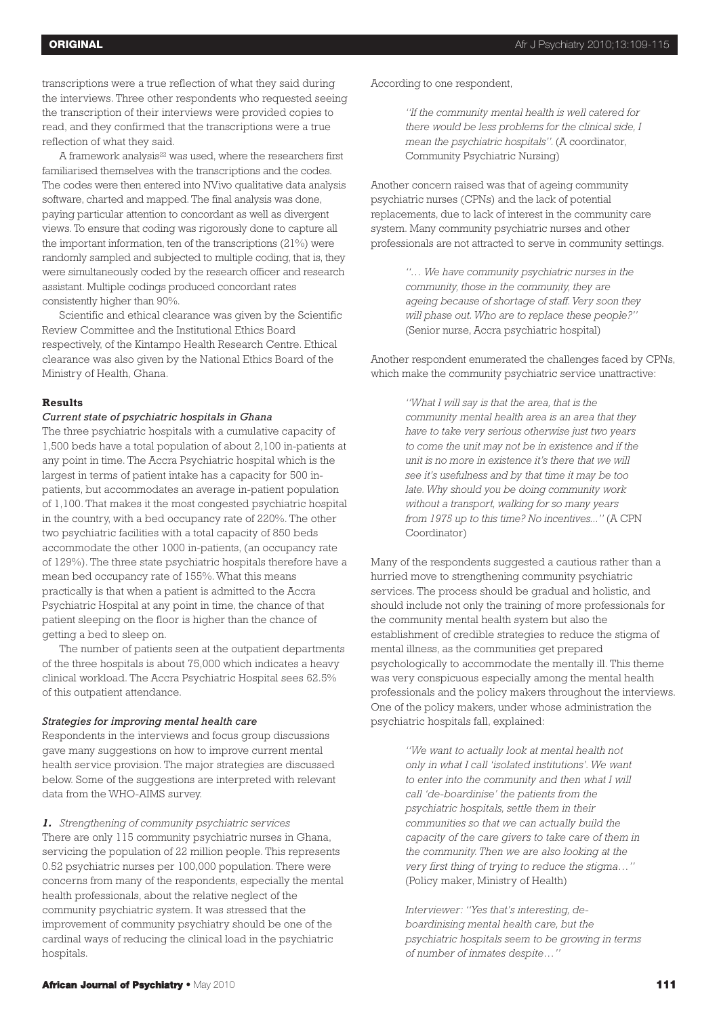transcriptions were a true reflection of what they said during the interviews. Three other respondents who requested seeing the transcription of their interviews were provided copies to read, and they confirmed that the transcriptions were a true reflection of what they said.

A framework analysis<sup>22</sup> was used, where the researchers first familiarised themselves with the transcriptions and the codes. The codes were then entered into NVivo qualitative data analysis software, charted and mapped. The final analysis was done, paying particular attention to concordant as well as divergent views. To ensure that coding was rigorously done to capture all the important information, ten of the transcriptions (21%) were randomly sampled and subjected to multiple coding, that is, they were simultaneously coded by the research officer and research assistant. Multiple codings produced concordant rates consistently higher than 90%.

Scientific and ethical clearance was given by the Scientific Review Committee and the Institutional Ethics Board respectively, of the Kintampo Health Research Centre. Ethical clearance was also given by the National Ethics Board of the Ministry of Health, Ghana.

## **Results**

# *Current state of psychiatric hospitals in Ghana*

The three psychiatric hospitals with a cumulative capacity of 1,500 beds have a total population of about 2,100 in-patients at any point in time. The Accra Psychiatric hospital which is the largest in terms of patient intake has a capacity for 500 inpatients, but accommodates an average in-patient population of 1,100. That makes it the most congested psychiatric hospital in the country, with a bed occupancy rate of 220%. The other two psychiatric facilities with a total capacity of 850 beds accommodate the other 1000 in-patients, (an occupancy rate of 129%). The three state psychiatric hospitals therefore have a mean bed occupancy rate of 155%. What this means practically is that when a patient is admitted to the Accra Psychiatric Hospital at any point in time, the chance of that patient sleeping on the floor is higher than the chance of getting a bed to sleep on.

The number of patients seen at the outpatient departments of the three hospitals is about 75,000 which indicates a heavy clinical workload. The Accra Psychiatric Hospital sees 62.5% of this outpatient attendance.

# *Strategies for improving mental health care*

Respondents in the interviews and focus group discussions gave many suggestions on how to improve current mental health service provision. The major strategies are discussed below. Some of the suggestions are interpreted with relevant data from the WHO-AIMS survey.

*1. Strengthening of community psychiatric services* There are only 115 community psychiatric nurses in Ghana, servicing the population of 22 million people. This represents 0.52 psychiatric nurses per 100,000 population. There were concerns from many of the respondents, especially the mental health professionals, about the relative neglect of the community psychiatric system. It was stressed that the improvement of community psychiatry should be one of the cardinal ways of reducing the clinical load in the psychiatric hospitals.

According to one respondent,

*"If the community mental health is well catered for there would be less problems for the clinical side, I mean the psychiatric hospitals".* (A coordinator, Community Psychiatric Nursing)

Another concern raised was that of ageing community psychiatric nurses (CPNs) and the lack of potential replacements, due to lack of interest in the community care system. Many community psychiatric nurses and other professionals are not attracted to serve in community settings.

> *"… We have community psychiatric nurses in the community, those in the community, they are ageing because of shortage of staff.Very soon they will phase out.Who are to replace these people?"* (Senior nurse, Accra psychiatric hospital)

Another respondent enumerated the challenges faced by CPNs, which make the community psychiatric service unattractive:

> *"What I will say is that the area, that is the community mental health area is an area that they have to take very serious otherwise just two years to come the unit may not be in existence and if the unit is no more in existence it's there that we will see it's usefulness and by that time it may be too late.Why should you be doing community work without a transport, walking for so many years from 1975 up to this time? No incentives..."* (A CPN Coordinator)

Many of the respondents suggested a cautious rather than a hurried move to strengthening community psychiatric services. The process should be gradual and holistic, and should include not only the training of more professionals for the community mental health system but also the establishment of credible strategies to reduce the stigma of mental illness, as the communities get prepared psychologically to accommodate the mentally ill. This theme was very conspicuous especially among the mental health professionals and the policy makers throughout the interviews. One of the policy makers, under whose administration the psychiatric hospitals fall, explained:

> *"We want to actually look at mental health not only in what I call 'isolated institutions'. We want to enter into the community and then what I will call 'de-boardinise' the patients from the psychiatric hospitals, settle them in their communities so that we can actually build the capacity of the care givers to take care of them in the community. Then we are also looking at the very first thing of trying to reduce the stigma…"* (Policy maker, Ministry of Health)

> *Interviewer: "Yes that's interesting, deboardinising mental health care, but the psychiatric hospitals seem to be growing in terms of number of inmates despite…"*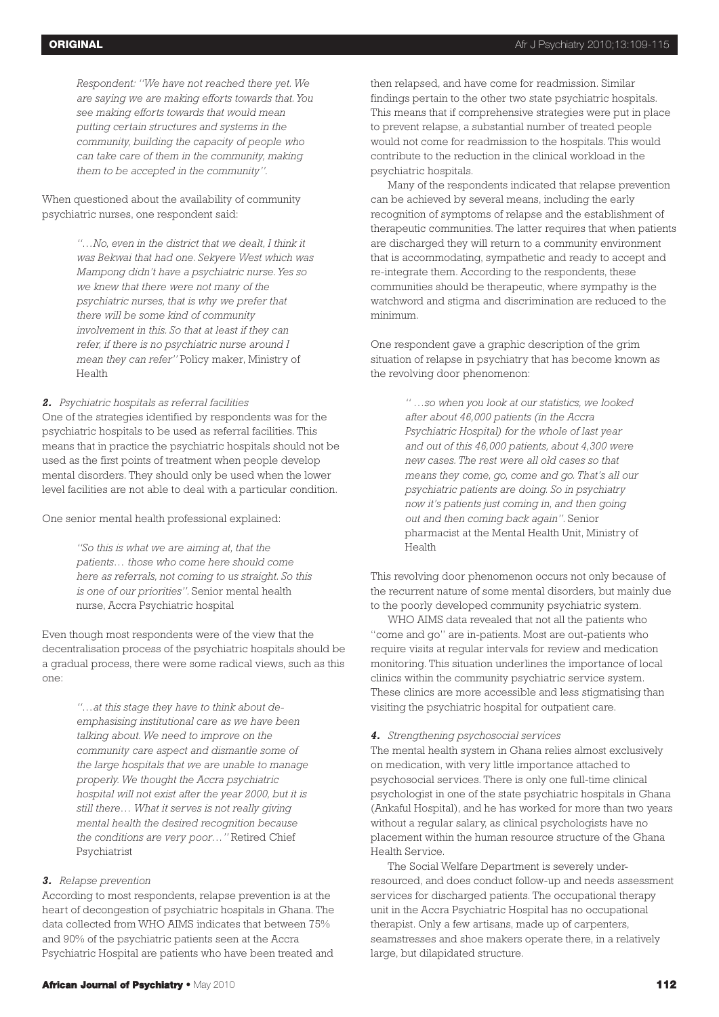*Respondent: "We have not reached there yet. We are saying we are making efforts towards that.You see making efforts towards that would mean putting certain structures and systems in the community, building the capacity of people who can take care of them in the community, making them to be accepted in the community".*

When questioned about the availability of community psychiatric nurses, one respondent said:

> *"…No, even in the district that we dealt, I think it was Bekwai that had one. Sekyere West which was Mampong didn't have a psychiatric nurse.Yes so we knew that there were not many of the psychiatric nurses, that is why we prefer that there will be some kind of community involvement in this. So that at least if they can refer, if there is no psychiatric nurse around I mean they can refer"* Policy maker, Ministry of Health

# *2. Psychiatric hospitals as referral facilities*

One of the strategies identified by respondents was for the psychiatric hospitals to be used as referral facilities. This means that in practice the psychiatric hospitals should not be used as the first points of treatment when people develop mental disorders. They should only be used when the lower level facilities are not able to deal with a particular condition.

One senior mental health professional explained:

*"So this is what we are aiming at, that the patients… those who come here should come here as referrals, not coming to us straight. So this is one of our priorities".* Senior mental health nurse, Accra Psychiatric hospital

Even though most respondents were of the view that the decentralisation process of the psychiatric hospitals should be a gradual process, there were some radical views, such as this one:

> *"…at this stage they have to think about deemphasising institutional care as we have been talking about. We need to improve on the community care aspect and dismantle some of the large hospitals that we are unable to manage properly. We thought the Accra psychiatric hospital will not exist after the year 2000, but it is still there… What it serves is not really giving mental health the desired recognition because the conditions are very poor…"* Retired Chief Psychiatrist

#### *3. Relapse prevention*

According to most respondents, relapse prevention is at the heart of decongestion of psychiatric hospitals in Ghana. The data collected from WHO AIMS indicates that between 75% and 90% of the psychiatric patients seen at the Accra Psychiatric Hospital are patients who have been treated and

Many of the respondents indicated that relapse prevention can be achieved by several means, including the early recognition of symptoms of relapse and the establishment of therapeutic communities. The latter requires that when patients are discharged they will return to a community environment that is accommodating, sympathetic and ready to accept and re-integrate them. According to the respondents, these communities should be therapeutic, where sympathy is the watchword and stigma and discrimination are reduced to the minimum.

One respondent gave a graphic description of the grim situation of relapse in psychiatry that has become known as the revolving door phenomenon:

> *" …so when you look at our statistics, we looked after about 46,000 patients (in the Accra Psychiatric Hospital) for the whole of last year and out of this 46,000 patients, about 4,300 were new cases. The rest were all old cases so that means they come, go, come and go. That's all our psychiatric patients are doing. So in psychiatry now it's patients just coming in, and then going out and then coming back again".* Senior pharmacist at the Mental Health Unit, Ministry of Health

This revolving door phenomenon occurs not only because of the recurrent nature of some mental disorders, but mainly due to the poorly developed community psychiatric system.

WHO AIMS data revealed that not all the patients who "come and go" are in-patients. Most are out-patients who require visits at regular intervals for review and medication monitoring. This situation underlines the importance of local clinics within the community psychiatric service system. These clinics are more accessible and less stigmatising than visiting the psychiatric hospital for outpatient care.

# *4. Strengthening psychosocial services*

The mental health system in Ghana relies almost exclusively on medication, with very little importance attached to psychosocial services. There is only one full-time clinical psychologist in one of the state psychiatric hospitals in Ghana (Ankaful Hospital), and he has worked for more than two years without a regular salary, as clinical psychologists have no placement within the human resource structure of the Ghana Health Service.

The Social Welfare Department is severely underresourced, and does conduct follow-up and needs assessment services for discharged patients. The occupational therapy unit in the Accra Psychiatric Hospital has no occupational therapist. Only a few artisans, made up of carpenters, seamstresses and shoe makers operate there, in a relatively large, but dilapidated structure.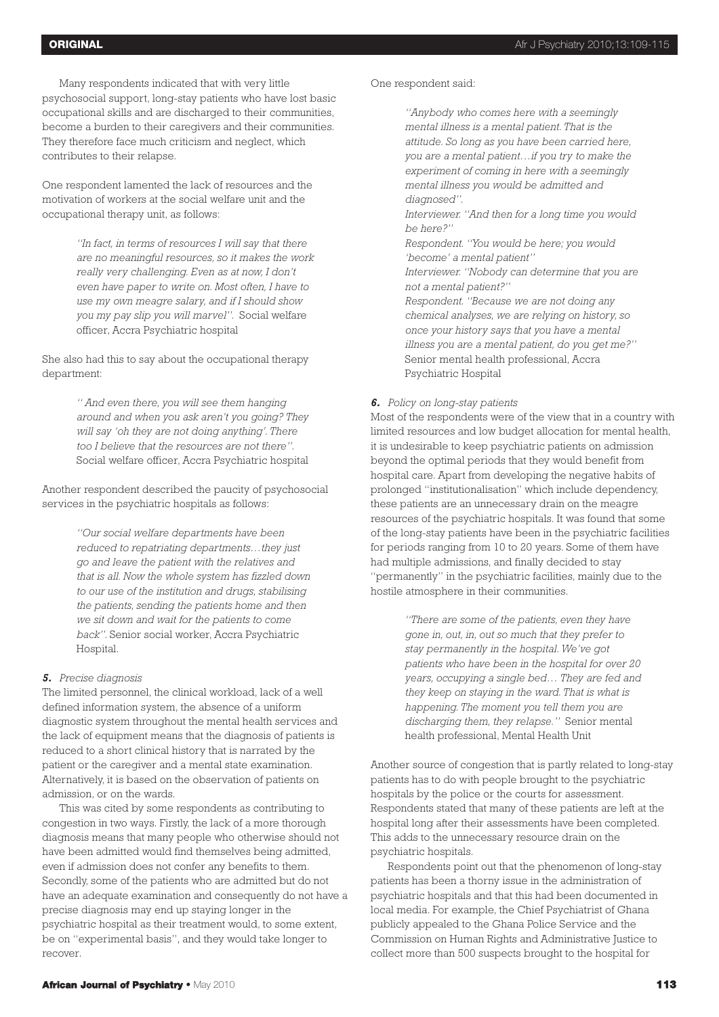Many respondents indicated that with very little psychosocial support, long-stay patients who have lost basic occupational skills and are discharged to their communities, become a burden to their caregivers and their communities. They therefore face much criticism and neglect, which contributes to their relapse.

One respondent lamented the lack of resources and the motivation of workers at the social welfare unit and the occupational therapy unit, as follows:

> *"In fact, in terms of resources I will say that there are no meaningful resources, so it makes the work really very challenging. Even as at now, I don't even have paper to write on. Most often, I have to use my own meagre salary, and if I should show you my pay slip you will marvel".* Social welfare officer, Accra Psychiatric hospital

She also had this to say about the occupational therapy department:

> *" And even there, you will see them hanging around and when you ask aren't you going? They will say 'oh they are not doing anything'. There too I believe that the resources are not there".* Social welfare officer, Accra Psychiatric hospital

Another respondent described the paucity of psychosocial services in the psychiatric hospitals as follows:

> *"Our social welfare departments have been reduced to repatriating departments…they just go and leave the patient with the relatives and that is all. Now the whole system has fizzled down to our use of the institution and drugs, stabilising the patients, sending the patients home and then we sit down and wait for the patients to come back".* Senior social worker, Accra Psychiatric Hospital.

# *5. Precise diagnosis*

The limited personnel, the clinical workload, lack of a well defined information system, the absence of a uniform diagnostic system throughout the mental health services and the lack of equipment means that the diagnosis of patients is reduced to a short clinical history that is narrated by the patient or the caregiver and a mental state examination. Alternatively, it is based on the observation of patients on admission, or on the wards.

This was cited by some respondents as contributing to congestion in two ways. Firstly, the lack of a more thorough diagnosis means that many people who otherwise should not have been admitted would find themselves being admitted, even if admission does not confer any benefits to them. Secondly, some of the patients who are admitted but do not have an adequate examination and consequently do not have a precise diagnosis may end up staying longer in the psychiatric hospital as their treatment would, to some extent, be on "experimental basis", and they would take longer to recover.

#### One respondent said:

*"Anybody who comes here with a seemingly mental illness is a mental patient. That is the attitude. So long as you have been carried here, you are a mental patient…if you try to make the experiment of coming in here with a seemingly mental illness you would be admitted and diagnosed".*

*Interviewer. "And then for a long time you would be here?"*

*Respondent. "You would be here; you would 'become' a mental patient"*

*Interviewer. "Nobody can determine that you are not a mental patient?"*

*Respondent. "Because we are not doing any chemical analyses, we are relying on history, so once your history says that you have a mental illness you are a mental patient, do you get me?"* Senior mental health professional, Accra Psychiatric Hospital

#### *6. Policy on long-stay patients*

Most of the respondents were of the view that in a country with limited resources and low budget allocation for mental health, it is undesirable to keep psychiatric patients on admission beyond the optimal periods that they would benefit from hospital care. Apart from developing the negative habits of prolonged "institutionalisation" which include dependency, these patients are an unnecessary drain on the meagre resources of the psychiatric hospitals. It was found that some of the long-stay patients have been in the psychiatric facilities for periods ranging from 10 to 20 years. Some of them have had multiple admissions, and finally decided to stay "permanently" in the psychiatric facilities, mainly due to the hostile atmosphere in their communities.

> *"There are some of the patients, even they have gone in, out, in, out so much that they prefer to stay permanently in the hospital. We've got patients who have been in the hospital for over 20 years, occupying a single bed… They are fed and they keep on staying in the ward. That is what is happening. The moment you tell them you are discharging them, they relapse."* Senior mental health professional, Mental Health Unit

Another source of congestion that is partly related to long-stay patients has to do with people brought to the psychiatric hospitals by the police or the courts for assessment. Respondents stated that many of these patients are left at the hospital long after their assessments have been completed. This adds to the unnecessary resource drain on the psychiatric hospitals.

Respondents point out that the phenomenon of long-stay patients has been a thorny issue in the administration of psychiatric hospitals and that this had been documented in local media. For example, the Chief Psychiatrist of Ghana publicly appealed to the Ghana Police Service and the Commission on Human Rights and Administrative Justice to collect more than 500 suspects brought to the hospital for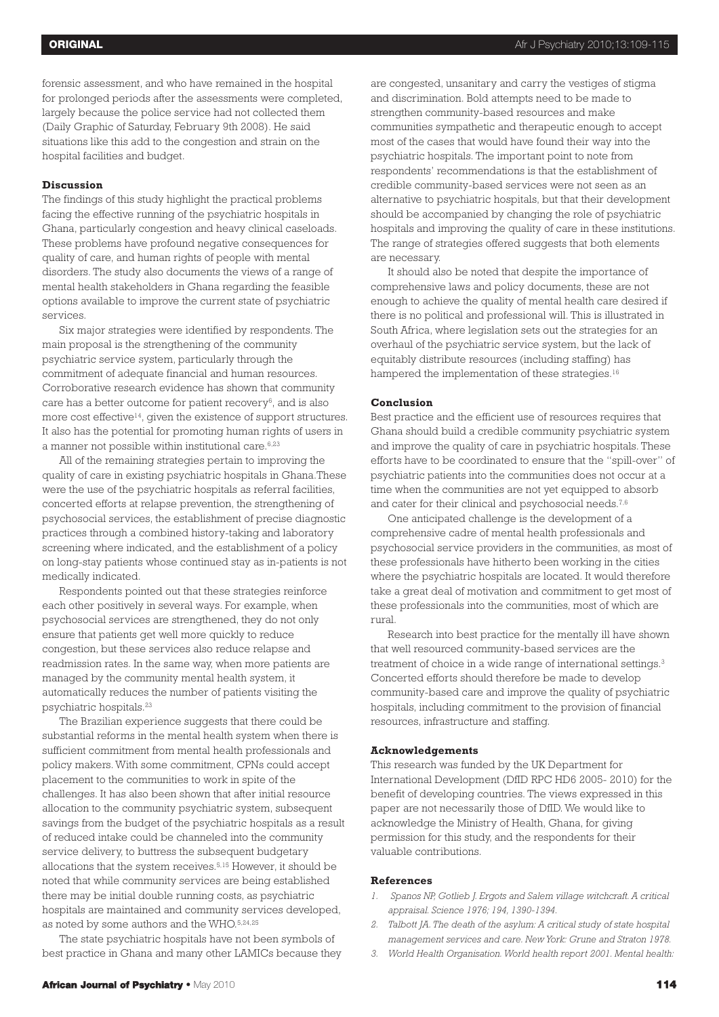forensic assessment, and who have remained in the hospital for prolonged periods after the assessments were completed, largely because the police service had not collected them (Daily Graphic of Saturday, February 9th 2008). He said situations like this add to the congestion and strain on the hospital facilities and budget.

#### **Discussion**

The findings of this study highlight the practical problems facing the effective running of the psychiatric hospitals in Ghana, particularly congestion and heavy clinical caseloads. These problems have profound negative consequences for quality of care, and human rights of people with mental disorders. The study also documents the views of a range of mental health stakeholders in Ghana regarding the feasible options available to improve the current state of psychiatric services.

Six major strategies were identified by respondents. The main proposal is the strengthening of the community psychiatric service system, particularly through the commitment of adequate financial and human resources. Corroborative research evidence has shown that community care has a better outcome for patient recovery<sup>6</sup>, and is also more cost effective<sup>14</sup>, given the existence of support structures. It also has the potential for promoting human rights of users in a manner not possible within institutional care. 6,23

All of the remaining strategies pertain to improving the quality of care in existing psychiatric hospitals in Ghana.These were the use of the psychiatric hospitals as referral facilities, concerted efforts at relapse prevention, the strengthening of psychosocial services, the establishment of precise diagnostic practices through a combined history-taking and laboratory screening where indicated, and the establishment of a policy on long-stay patients whose continued stay as in-patients is not medically indicated.

Respondents pointed out that these strategies reinforce each other positively in several ways. For example, when psychosocial services are strengthened, they do not only ensure that patients get well more quickly to reduce congestion, but these services also reduce relapse and readmission rates. In the same way, when more patients are managed by the community mental health system, it automatically reduces the number of patients visiting the psychiatric hospitals. 23

The Brazilian experience suggests that there could be substantial reforms in the mental health system when there is sufficient commitment from mental health professionals and policy makers. With some commitment, CPNs could accept placement to the communities to work in spite of the challenges. It has also been shown that after initial resource allocation to the community psychiatric system, subsequent savings from the budget of the psychiatric hospitals as a result of reduced intake could be channeled into the community service delivery, to buttress the subsequent budgetary allocations that the system receives. 5,15 However, it should be noted that while community services are being established there may be initial double running costs, as psychiatric hospitals are maintained and community services developed, as noted by some authors and the WHO.<sup>5,24,25</sup>

The state psychiatric hospitals have not been symbols of best practice in Ghana and many other LAMICs because they

are congested, unsanitary and carry the vestiges of stigma and discrimination. Bold attempts need to be made to strengthen community-based resources and make communities sympathetic and therapeutic enough to accept most of the cases that would have found their way into the psychiatric hospitals. The important point to note from respondents' recommendations is that the establishment of credible community-based services were not seen as an alternative to psychiatric hospitals, but that their development should be accompanied by changing the role of psychiatric hospitals and improving the quality of care in these institutions. The range of strategies offered suggests that both elements are necessary.

It should also be noted that despite the importance of comprehensive laws and policy documents, these are not enough to achieve the quality of mental health care desired if there is no political and professional will. This is illustrated in South Africa, where legislation sets out the strategies for an overhaul of the psychiatric service system, but the lack of equitably distribute resources (including staffing) has hampered the implementation of these strategies. 16

# **Conclusion**

Best practice and the efficient use of resources requires that Ghana should build a credible community psychiatric system and improve the quality of care in psychiatric hospitals. These efforts have to be coordinated to ensure that the "spill-over" of psychiatric patients into the communities does not occur at a time when the communities are not yet equipped to absorb and cater for their clinical and psychosocial needs.<sup>7,6</sup>

One anticipated challenge is the development of a comprehensive cadre of mental health professionals and psychosocial service providers in the communities, as most of these professionals have hitherto been working in the cities where the psychiatric hospitals are located. It would therefore take a great deal of motivation and commitment to get most of these professionals into the communities, most of which are rural.

Research into best practice for the mentally ill have shown that well resourced community-based services are the treatment of choice in a wide range of international settings. 3 Concerted efforts should therefore be made to develop community-based care and improve the quality of psychiatric hospitals, including commitment to the provision of financial resources, infrastructure and staffing.

# **Acknowledgements**

This research was funded by the UK Department for International Development (DfID RPC HD6 2005- 2010) for the benefit of developing countries. The views expressed in this paper are not necessarily those of DfID. We would like to acknowledge the Ministry of Health, Ghana, for giving permission for this study, and the respondents for their valuable contributions.

#### **References**

- *1. Spanos NP, Gotlieb J. Ergots and Salem village witchcraft. A critical appraisal. Science 1976; 194, 1390-1394.*
- *2. Talbott JA. The death of the asylum: A critical study of state hospital management services and care. New York: Grune and Straton 1978.*
- *3. World Health Organisation. World health report 2001. Mental health:*